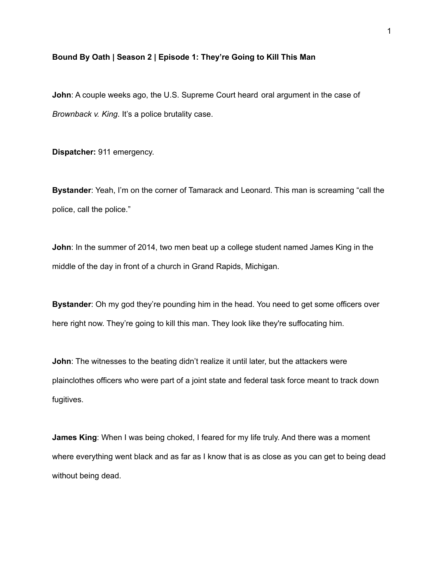## **Bound By Oath | Season 2 | Episode 1: They're Going to Kill This Man**

**John**: A couple weeks ago, the U.S. Supreme Court heard oral argument in the case of *Brownback v. King*. It's a police brutality case.

**Dispatcher:** 911 emergency.

**Bystander**: Yeah, I'm on the corner of Tamarack and Leonard. This man is screaming "call the police, call the police."

**John**: In the summer of 2014, two men beat up a college student named James King in the middle of the day in front of a church in Grand Rapids, Michigan.

**Bystander**: Oh my god they're pounding him in the head. You need to get some officers over here right now. They're going to kill this man. They look like they're suffocating him.

**John**: The witnesses to the beating didn't realize it until later, but the attackers were plainclothes officers who were part of a joint state and federal task force meant to track down fugitives.

**James King**: When I was being choked, I feared for my life truly. And there was a moment where everything went black and as far as I know that is as close as you can get to being dead without being dead.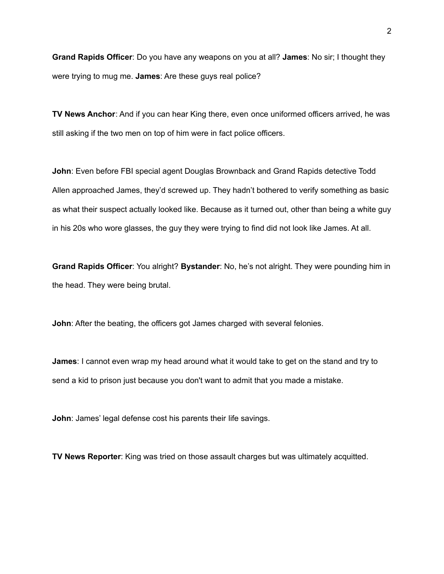**Grand Rapids Officer**: Do you have any weapons on you at all? **James**: No sir; I thought they were trying to mug me. **James**: Are these guys real police?

**TV News Anchor**: And if you can hear King there, even once uniformed officers arrived, he was still asking if the two men on top of him were in fact police officers.

**John**: Even before FBI special agent Douglas Brownback and Grand Rapids detective Todd Allen approached James, they'd screwed up. They hadn't bothered to verify something as basic as what their suspect actually looked like. Because as it turned out, other than being a white guy in his 20s who wore glasses, the guy they were trying to find did not look like James. At all.

**Grand Rapids Officer**: You alright? **Bystander**: No, he's not alright. They were pounding him in the head. They were being brutal.

**John**: After the beating, the officers got James charged with several felonies.

**James**: I cannot even wrap my head around what it would take to get on the stand and try to send a kid to prison just because you don't want to admit that you made a mistake.

**John**: James' legal defense cost his parents their life savings.

**TV News Reporter**: King was tried on those assault charges but was ultimately acquitted.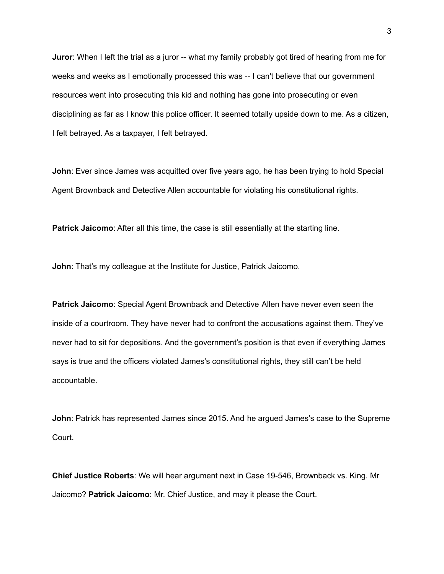**Juror**: When I left the trial as a juror -- what my family probably got tired of hearing from me for weeks and weeks as I emotionally processed this was -- I can't believe that our government resources went into prosecuting this kid and nothing has gone into prosecuting or even disciplining as far as I know this police officer. It seemed totally upside down to me. As a citizen, I felt betrayed. As a taxpayer, I felt betrayed.

**John**: Ever since James was acquitted over five years ago, he has been trying to hold Special Agent Brownback and Detective Allen accountable for violating his constitutional rights.

**Patrick Jaicomo**: After all this time, the case is still essentially at the starting line.

**John**: That's my colleague at the Institute for Justice, Patrick Jaicomo.

**Patrick Jaicomo**: Special Agent Brownback and Detective Allen have never even seen the inside of a courtroom. They have never had to confront the accusations against them. They've never had to sit for depositions. And the government's position is that even if everything James says is true and the officers violated James's constitutional rights, they still can't be held accountable.

**John**: Patrick has represented James since 2015. And he argued James's case to the Supreme Court.

**Chief Justice Roberts**: We will hear argument next in Case 19-546, Brownback vs. King. Mr Jaicomo? **Patrick Jaicomo**: Mr. Chief Justice, and may it please the Court.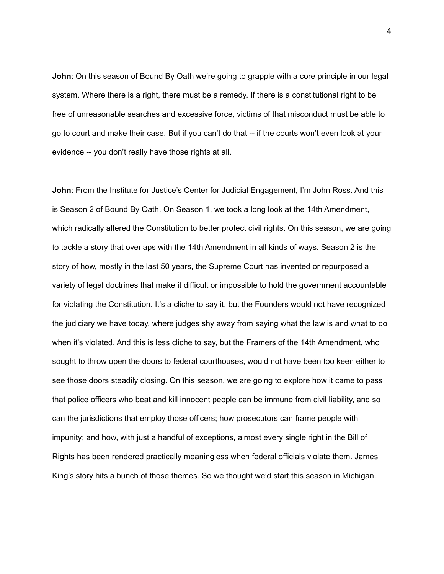**John**: On this season of Bound By Oath we're going to grapple with a core principle in our legal system. Where there is a right, there must be a remedy. If there is a constitutional right to be free of unreasonable searches and excessive force, victims of that misconduct must be able to go to court and make their case. But if you can't do that -- if the courts won't even look at your evidence -- you don't really have those rights at all.

**John**: From the Institute for Justice's Center for Judicial Engagement, I'm John Ross. And this is Season 2 of Bound By Oath. On Season 1, we took a long look at the 14th Amendment, which radically altered the Constitution to better protect civil rights. On this season, we are going to tackle a story that overlaps with the 14th Amendment in all kinds of ways. Season 2 is the story of how, mostly in the last 50 years, the Supreme Court has invented or repurposed a variety of legal doctrines that make it difficult or impossible to hold the government accountable for violating the Constitution. It's a cliche to say it, but the Founders would not have recognized the judiciary we have today, where judges shy away from saying what the law is and what to do when it's violated. And this is less cliche to say, but the Framers of the 14th Amendment, who sought to throw open the doors to federal courthouses, would not have been too keen either to see those doors steadily closing. On this season, we are going to explore how it came to pass that police officers who beat and kill innocent people can be immune from civil liability, and so can the jurisdictions that employ those officers; how prosecutors can frame people with impunity; and how, with just a handful of exceptions, almost every single right in the Bill of Rights has been rendered practically meaningless when federal officials violate them. James King's story hits a bunch of those themes. So we thought we'd start this season in Michigan.

4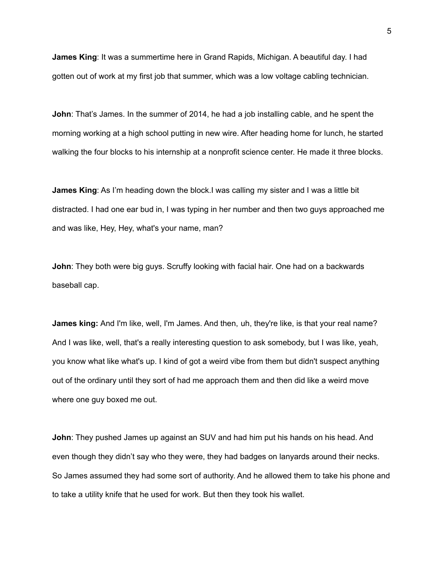**James King**: It was a summertime here in Grand Rapids, Michigan. A beautiful day. I had gotten out of work at my first job that summer, which was a low voltage cabling technician.

**John**: That's James. In the summer of 2014, he had a job installing cable, and he spent the morning working at a high school putting in new wire. After heading home for lunch, he started walking the four blocks to his internship at a nonprofit science center. He made it three blocks.

**James King**: As I'm heading down the block.I was calling my sister and I was a little bit distracted. I had one ear bud in, I was typing in her number and then two guys approached me and was like, Hey, Hey, what's your name, man?

**John**: They both were big guys. Scruffy looking with facial hair. One had on a backwards baseball cap.

**James king:** And I'm like, well, I'm James. And then, uh, they're like, is that your real name? And I was like, well, that's a really interesting question to ask somebody, but I was like, yeah, you know what like what's up. I kind of got a weird vibe from them but didn't suspect anything out of the ordinary until they sort of had me approach them and then did like a weird move where one guy boxed me out.

**John**: They pushed James up against an SUV and had him put his hands on his head. And even though they didn't say who they were, they had badges on lanyards around their necks. So James assumed they had some sort of authority. And he allowed them to take his phone and to take a utility knife that he used for work. But then they took his wallet.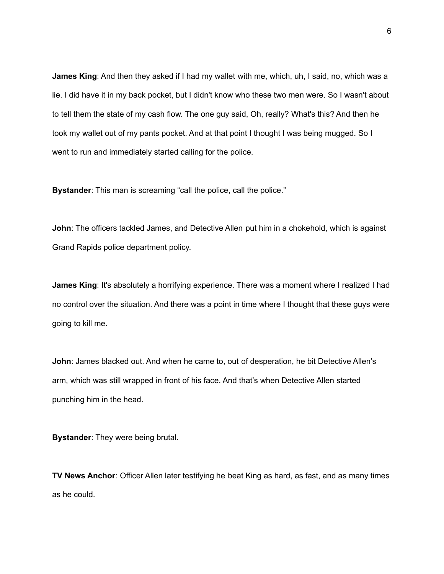**James King**: And then they asked if I had my wallet with me, which, uh, I said, no, which was a lie. I did have it in my back pocket, but I didn't know who these two men were. So I wasn't about to tell them the state of my cash flow. The one guy said, Oh, really? What's this? And then he took my wallet out of my pants pocket. And at that point I thought I was being mugged. So I went to run and immediately started calling for the police.

**Bystander:** This man is screaming "call the police, call the police."

**John**: The officers tackled James, and Detective Allen put him in a chokehold, which is against Grand Rapids police department policy.

**James King**: It's absolutely a horrifying experience. There was a moment where I realized I had no control over the situation. And there was a point in time where I thought that these guys were going to kill me.

**John**: James blacked out. And when he came to, out of desperation, he bit Detective Allen's arm, which was still wrapped in front of his face. And that's when Detective Allen started punching him in the head.

**Bystander**: They were being brutal.

**TV News Anchor**: Officer Allen later testifying he beat King as hard, as fast, and as many times as he could.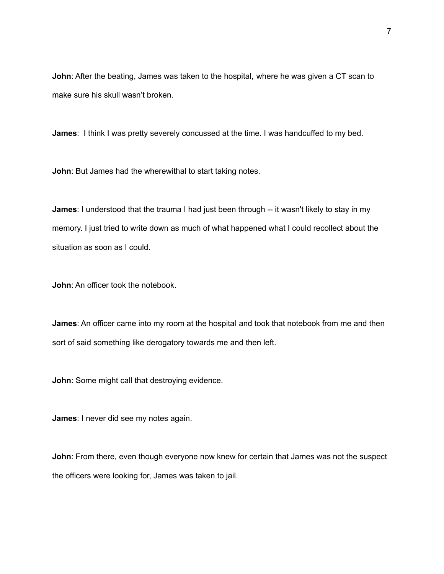**John**: After the beating, James was taken to the hospital, where he was given a CT scan to make sure his skull wasn't broken.

**James**: I think I was pretty severely concussed at the time. I was handcuffed to my bed.

**John**: But James had the wherewithal to start taking notes.

**James**: I understood that the trauma I had just been through -- it wasn't likely to stay in my memory. I just tried to write down as much of what happened what I could recollect about the situation as soon as I could.

**John**: An officer took the notebook.

**James**: An officer came into my room at the hospital and took that notebook from me and then sort of said something like derogatory towards me and then left.

**John**: Some might call that destroying evidence.

**James**: I never did see my notes again.

**John**: From there, even though everyone now knew for certain that James was not the suspect the officers were looking for, James was taken to jail.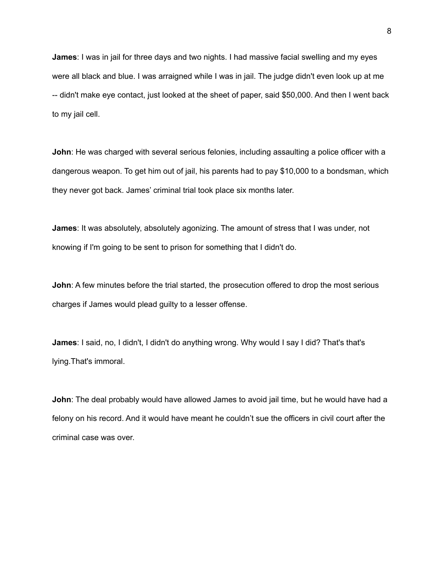**James**: I was in jail for three days and two nights. I had massive facial swelling and my eyes were all black and blue. I was arraigned while I was in jail. The judge didn't even look up at me -- didn't make eye contact, just looked at the sheet of paper, said \$50,000. And then I went back to my jail cell.

**John**: He was charged with several serious felonies, including assaulting a police officer with a dangerous weapon. To get him out of jail, his parents had to pay \$10,000 to a bondsman, which they never got back. James' criminal trial took place six months later.

**James**: It was absolutely, absolutely agonizing. The amount of stress that I was under, not knowing if I'm going to be sent to prison for something that I didn't do.

**John**: A few minutes before the trial started, the prosecution offered to drop the most serious charges if James would plead guilty to a lesser offense.

**James**: I said, no, I didn't, I didn't do anything wrong. Why would I say I did? That's that's lying.That's immoral.

**John**: The deal probably would have allowed James to avoid jail time, but he would have had a felony on his record. And it would have meant he couldn't sue the officers in civil court after the criminal case was over.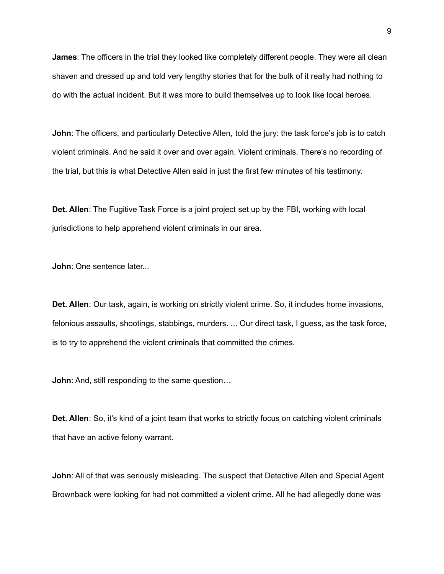**James**: The officers in the trial they looked like completely different people. They were all clean shaven and dressed up and told very lengthy stories that for the bulk of it really had nothing to do with the actual incident. But it was more to build themselves up to look like local heroes.

**John**: The officers, and particularly Detective Allen, told the jury: the task force's job is to catch violent criminals. And he said it over and over again. Violent criminals. There's no recording of the trial, but this is what Detective Allen said in just the first few minutes of his testimony.

**Det. Allen**: The Fugitive Task Force is a joint project set up by the FBI, working with local jurisdictions to help apprehend violent criminals in our area.

**John**: One sentence later...

**Det. Allen**: Our task, again, is working on strictly violent crime. So, it includes home invasions, felonious assaults, shootings, stabbings, murders. ... Our direct task, I guess, as the task force, is to try to apprehend the violent criminals that committed the crimes.

**John:** And, still responding to the same question...

**Det. Allen**: So, it's kind of a joint team that works to strictly focus on catching violent criminals that have an active felony warrant.

**John**: All of that was seriously misleading. The suspect that Detective Allen and Special Agent Brownback were looking for had not committed a violent crime. All he had allegedly done was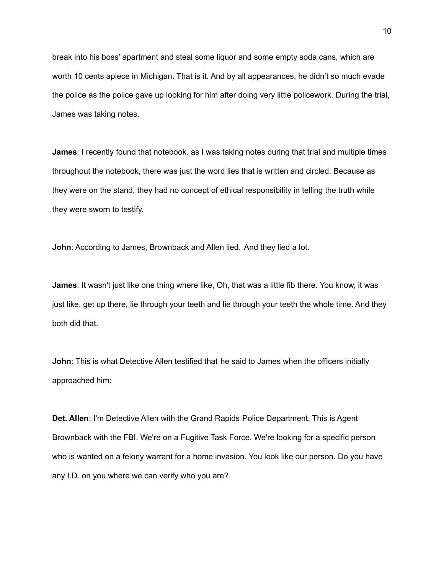break into his boss' apartment and steal some liquor and some empty soda cans, which are worth 10 cents apiece in Michigan. That is it. And by all appearances, he didn't so much evade the police as the police gave up looking for him after doing very little policework. During the trial, James was taking notes.

**James**: I recently found that notebook. as I was taking notes during that trial and multiple times throughout the notebook, there was just the word lies that is written and circled. Because as they were on the stand, they had no concept of ethical responsibility in telling the truth while they were sworn to testify.

**John: According to James, Brownback and Allen lied. And they lied a lot.** 

**James**: It wasn't just like one thing where like, Oh, that was a little fib there. You know, it was just like, get up there, lie through your teeth and lie through your teeth the whole time. And they both did that.

**John**: This is what Detective Allen testified that he said to James when the officers initially approached him:

**Det. Allen**: I'm Detective Allen with the Grand Rapids Police Department. This is Agent Brownback with the FBI. We're on a Fugitive Task Force. We're looking for a specific person who is wanted on a felony warrant for a home invasion. You look like our person. Do you have any I.D. on you where we can verify who you are?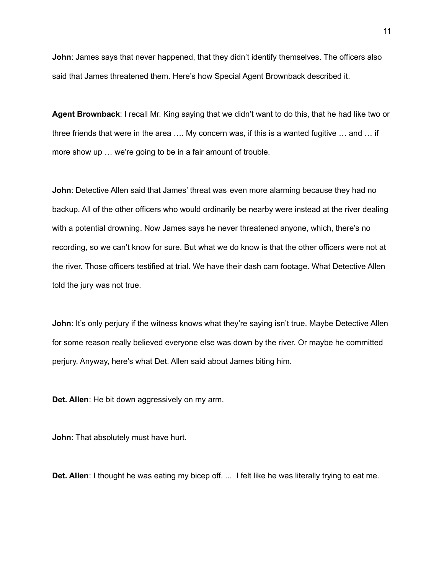**John**: James says that never happened, that they didn't identify themselves. The officers also said that James threatened them. Here's how Special Agent Brownback described it.

**Agent Brownback**: I recall Mr. King saying that we didn't want to do this, that he had like two or three friends that were in the area …. My concern was, if this is a wanted fugitive … and … if more show up … we're going to be in a fair amount of trouble.

**John**: Detective Allen said that James' threat was even more alarming because they had no backup. All of the other officers who would ordinarily be nearby were instead at the river dealing with a potential drowning. Now James says he never threatened anyone, which, there's no recording, so we can't know for sure. But what we do know is that the other officers were not at the river. Those officers testified at trial. We have their dash cam footage. What Detective Allen told the jury was not true.

**John:** It's only perjury if the witness knows what they're saying isn't true. Maybe Detective Allen for some reason really believed everyone else was down by the river. Or maybe he committed perjury. Anyway, here's what Det. Allen said about James biting him.

**Det. Allen**: He bit down aggressively on my arm.

**John**: That absolutely must have hurt.

**Det. Allen**: I thought he was eating my bicep off. ... I felt like he was literally trying to eat me.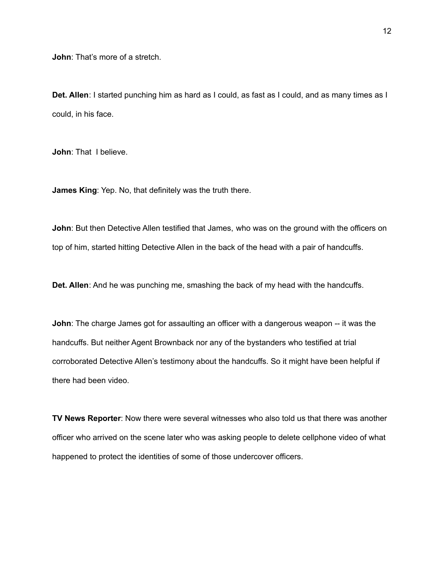**John**: That's more of a stretch.

**Det. Allen**: I started punching him as hard as I could, as fast as I could, and as many times as I could, in his face.

**John**: That I believe.

**James King**: Yep. No, that definitely was the truth there.

**John**: But then Detective Allen testified that James, who was on the ground with the officers on top of him, started hitting Detective Allen in the back of the head with a pair of handcuffs.

**Det. Allen**: And he was punching me, smashing the back of my head with the handcuffs.

**John**: The charge James got for assaulting an officer with a dangerous weapon -- it was the handcuffs. But neither Agent Brownback nor any of the bystanders who testified at trial corroborated Detective Allen's testimony about the handcuffs. So it might have been helpful if there had been video.

**TV News Reporter**: Now there were several witnesses who also told us that there was another officer who arrived on the scene later who was asking people to delete cellphone video of what happened to protect the identities of some of those undercover officers.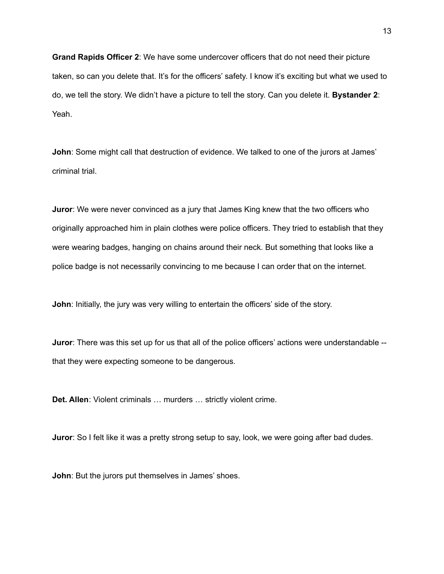**Grand Rapids Officer 2**: We have some undercover officers that do not need their picture taken, so can you delete that. It's for the officers' safety. I know it's exciting but what we used to do, we tell the story. We didn't have a picture to tell the story. Can you delete it. **Bystander 2**: Yeah.

**John**: Some might call that destruction of evidence. We talked to one of the jurors at James' criminal trial.

**Juror**: We were never convinced as a jury that James King knew that the two officers who originally approached him in plain clothes were police officers. They tried to establish that they were wearing badges, hanging on chains around their neck. But something that looks like a police badge is not necessarily convincing to me because I can order that on the internet.

**John**: Initially, the jury was very willing to entertain the officers' side of the story.

**Juror**: There was this set up for us that all of the police officers' actions were understandable - that they were expecting someone to be dangerous.

**Det. Allen**: Violent criminals … murders … strictly violent crime.

**Juror**: So I felt like it was a pretty strong setup to say, look, we were going after bad dudes.

**John**: But the jurors put themselves in James' shoes.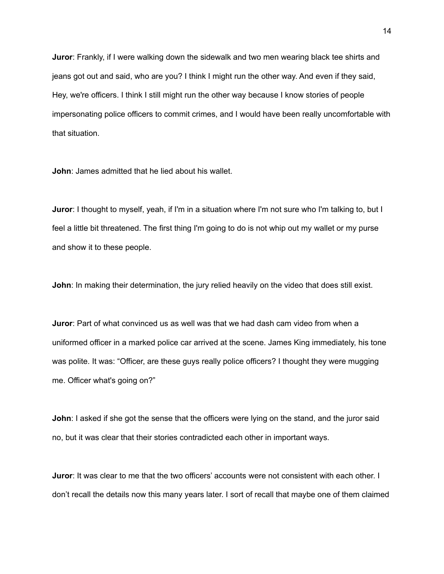**Juror**: Frankly, if I were walking down the sidewalk and two men wearing black tee shirts and jeans got out and said, who are you? I think I might run the other way. And even if they said, Hey, we're officers. I think I still might run the other way because I know stories of people impersonating police officers to commit crimes, and I would have been really uncomfortable with that situation.

**John**: James admitted that he lied about his wallet.

**Juror**: I thought to myself, yeah, if I'm in a situation where I'm not sure who I'm talking to, but I feel a little bit threatened. The first thing I'm going to do is not whip out my wallet or my purse and show it to these people.

**John**: In making their determination, the jury relied heavily on the video that does still exist.

**Juror**: Part of what convinced us as well was that we had dash cam video from when a uniformed officer in a marked police car arrived at the scene. James King immediately, his tone was polite. It was: "Officer, are these guys really police officers? I thought they were mugging me. Officer what's going on?"

**John**: I asked if she got the sense that the officers were lying on the stand, and the juror said no, but it was clear that their stories contradicted each other in important ways.

**Juror**: It was clear to me that the two officers' accounts were not consistent with each other. I don't recall the details now this many years later. I sort of recall that maybe one of them claimed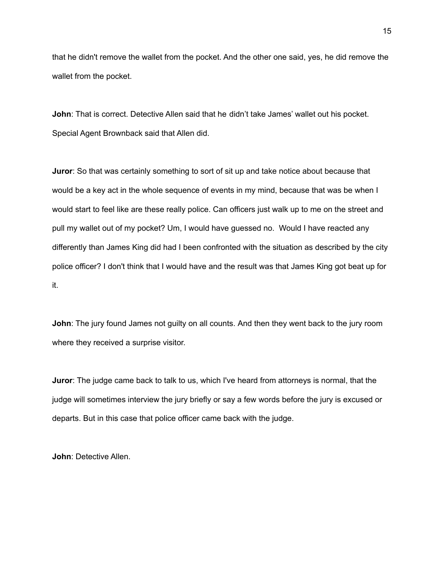that he didn't remove the wallet from the pocket. And the other one said, yes, he did remove the wallet from the pocket.

**John**: That is correct. Detective Allen said that he didn't take James' wallet out his pocket. Special Agent Brownback said that Allen did.

**Juror**: So that was certainly something to sort of sit up and take notice about because that would be a key act in the whole sequence of events in my mind, because that was be when I would start to feel like are these really police. Can officers just walk up to me on the street and pull my wallet out of my pocket? Um, I would have guessed no. Would I have reacted any differently than James King did had I been confronted with the situation as described by the city police officer? I don't think that I would have and the result was that James King got beat up for it.

**John**: The jury found James not guilty on all counts. And then they went back to the jury room where they received a surprise visitor.

**Juror**: The judge came back to talk to us, which I've heard from attorneys is normal, that the judge will sometimes interview the jury briefly or say a few words before the jury is excused or departs. But in this case that police officer came back with the judge.

**John**: Detective Allen.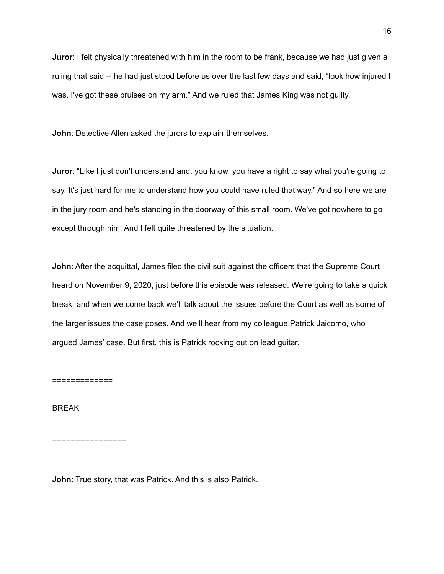**Juror**: I felt physically threatened with him in the room to be frank, because we had just given a ruling that said -- he had just stood before us over the last few days and said, "look how injured I was. I've got these bruises on my arm." And we ruled that James King was not guilty.

**John**: Detective Allen asked the jurors to explain themselves.

**Juror**: "Like I just don't understand and, you know, you have a right to say what you're going to say. It's just hard for me to understand how you could have ruled that way." And so here we are in the jury room and he's standing in the doorway of this small room. We've got nowhere to go except through him. And I felt quite threatened by the situation.

**John: After the acquittal, James filed the civil suit against the officers that the Supreme Court** heard on November 9, 2020, just before this episode was released. We're going to take a quick break, and when we come back we'll talk about the issues before the Court as well as some of the larger issues the case poses. And we'll hear from my colleague Patrick Jaicomo, who argued James' case. But first, this is Patrick rocking out on lead guitar.

=============

BREAK

================

**John**: True story, that was Patrick. And this is also Patrick.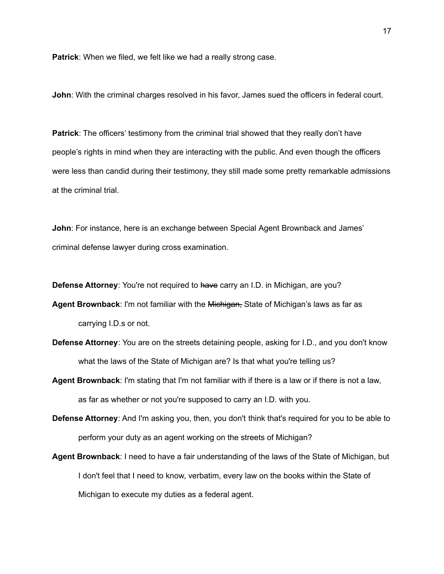**Patrick**: When we filed, we felt like we had a really strong case.

**John**: With the criminal charges resolved in his favor, James sued the officers in federal court.

**Patrick:** The officers' testimony from the criminal trial showed that they really don't have people's rights in mind when they are interacting with the public. And even though the officers were less than candid during their testimony, they still made some pretty remarkable admissions at the criminal trial.

**John**: For instance, here is an exchange between Special Agent Brownback and James' criminal defense lawyer during cross examination.

**Defense Attorney:** You're not required to have carry an I.D. in Michigan, are you?

**Agent Brownback**: I'm not familiar with the Michigan, State of Michigan's laws as far as carrying I.D.s or not.

- **Defense Attorney**: You are on the streets detaining people, asking for I.D., and you don't know what the laws of the State of Michigan are? Is that what you're telling us?
- **Agent Brownback**: I'm stating that I'm not familiar with if there is a law or if there is not a law, as far as whether or not you're supposed to carry an I.D. with you.
- **Defense Attorney**: And I'm asking you, then, you don't think that's required for you to be able to perform your duty as an agent working on the streets of Michigan?
- **Agent Brownback**: I need to have a fair understanding of the laws of the State of Michigan, but I don't feel that I need to know, verbatim, every law on the books within the State of Michigan to execute my duties as a federal agent.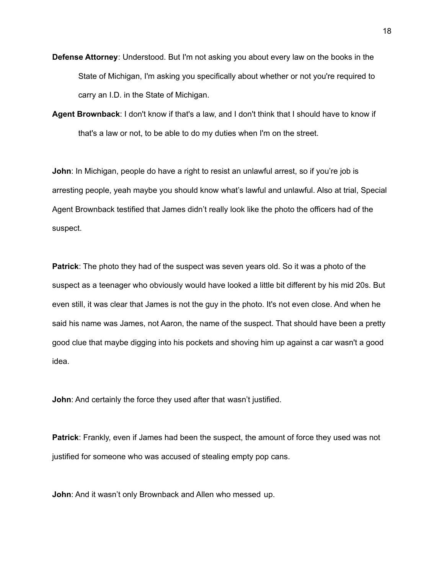- **Defense Attorney**: Understood. But I'm not asking you about every law on the books in the State of Michigan, I'm asking you specifically about whether or not you're required to carry an I.D. in the State of Michigan.
- **Agent Brownback**: I don't know if that's a law, and I don't think that I should have to know if that's a law or not, to be able to do my duties when I'm on the street.

**John**: In Michigan, people do have a right to resist an unlawful arrest, so if you're job is arresting people, yeah maybe you should know what's lawful and unlawful. Also at trial, Special Agent Brownback testified that James didn't really look like the photo the officers had of the suspect.

**Patrick**: The photo they had of the suspect was seven years old. So it was a photo of the suspect as a teenager who obviously would have looked a little bit different by his mid 20s. But even still, it was clear that James is not the guy in the photo. It's not even close. And when he said his name was James, not Aaron, the name of the suspect. That should have been a pretty good clue that maybe digging into his pockets and shoving him up against a car wasn't a good idea.

**John**: And certainly the force they used after that wasn't justified.

**Patrick**: Frankly, even if James had been the suspect, the amount of force they used was not justified for someone who was accused of stealing empty pop cans.

**John**: And it wasn't only Brownback and Allen who messed up.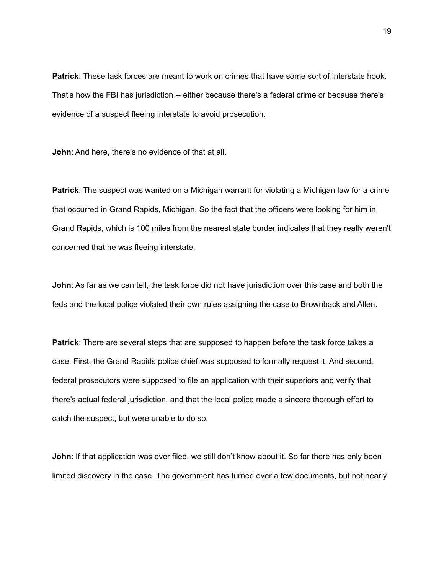**Patrick**: These task forces are meant to work on crimes that have some sort of interstate hook. That's how the FBI has jurisdiction -- either because there's a federal crime or because there's evidence of a suspect fleeing interstate to avoid prosecution.

**John**: And here, there's no evidence of that at all.

**Patrick**: The suspect was wanted on a Michigan warrant for violating a Michigan law for a crime that occurred in Grand Rapids, Michigan. So the fact that the officers were looking for him in Grand Rapids, which is 100 miles from the nearest state border indicates that they really weren't concerned that he was fleeing interstate.

**John**: As far as we can tell, the task force did not have jurisdiction over this case and both the feds and the local police violated their own rules assigning the case to Brownback and Allen.

**Patrick**: There are several steps that are supposed to happen before the task force takes a case. First, the Grand Rapids police chief was supposed to formally request it. And second, federal prosecutors were supposed to file an application with their superiors and verify that there's actual federal jurisdiction, and that the local police made a sincere thorough effort to catch the suspect, but were unable to do so.

**John**: If that application was ever filed, we still don't know about it. So far there has only been limited discovery in the case. The government has turned over a few documents, but not nearly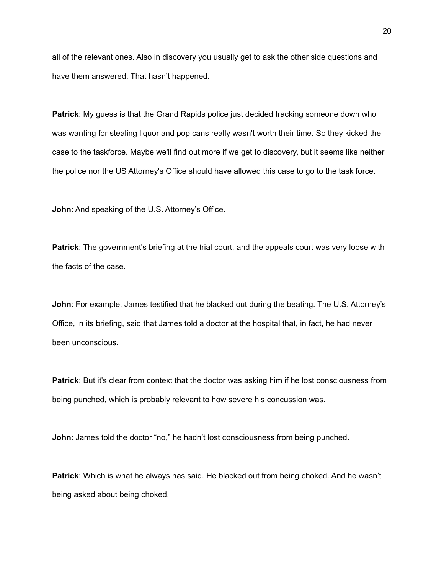all of the relevant ones. Also in discovery you usually get to ask the other side questions and have them answered. That hasn't happened.

**Patrick**: My guess is that the Grand Rapids police just decided tracking someone down who was wanting for stealing liquor and pop cans really wasn't worth their time. So they kicked the case to the taskforce. Maybe we'll find out more if we get to discovery, but it seems like neither the police nor the US Attorney's Office should have allowed this case to go to the task force.

**John**: And speaking of the U.S. Attorney's Office.

**Patrick**: The government's briefing at the trial court, and the appeals court was very loose with the facts of the case.

**John**: For example, James testified that he blacked out during the beating. The U.S. Attorney's Office, in its briefing, said that James told a doctor at the hospital that, in fact, he had never been unconscious.

**Patrick**: But it's clear from context that the doctor was asking him if he lost consciousness from being punched, which is probably relevant to how severe his concussion was.

**John**: James told the doctor "no," he hadn't lost consciousness from being punched.

**Patrick**: Which is what he always has said. He blacked out from being choked. And he wasn't being asked about being choked.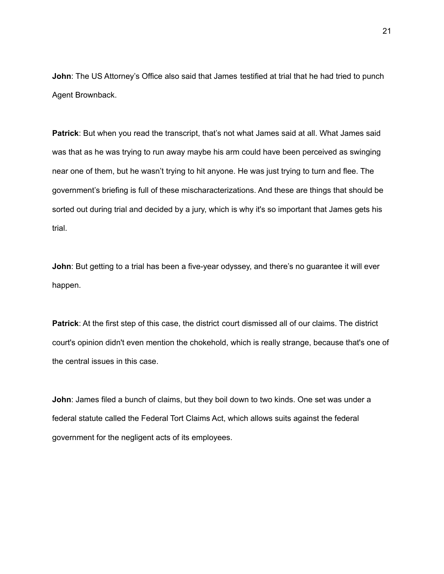**John**: The US Attorney's Office also said that James testified at trial that he had tried to punch Agent Brownback.

**Patrick**: But when you read the transcript, that's not what James said at all. What James said was that as he was trying to run away maybe his arm could have been perceived as swinging near one of them, but he wasn't trying to hit anyone. He was just trying to turn and flee. The government's briefing is full of these mischaracterizations. And these are things that should be sorted out during trial and decided by a jury, which is why it's so important that James gets his trial.

**John**: But getting to a trial has been a five-year odyssey, and there's no guarantee it will ever happen.

**Patrick**: At the first step of this case, the district court dismissed all of our claims. The district court's opinion didn't even mention the chokehold, which is really strange, because that's one of the central issues in this case.

**John**: James filed a bunch of claims, but they boil down to two kinds. One set was under a federal statute called the Federal Tort Claims Act, which allows suits against the federal government for the negligent acts of its employees.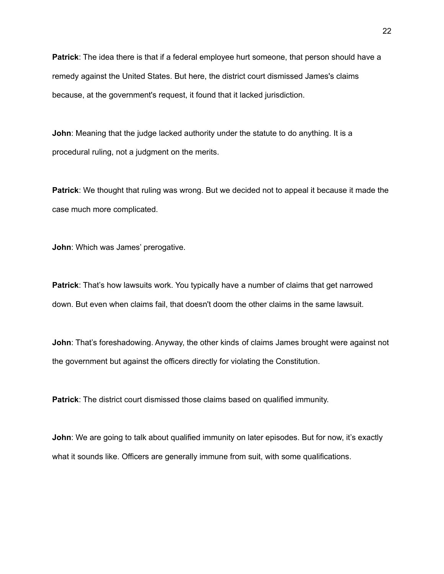**Patrick**: The idea there is that if a federal employee hurt someone, that person should have a remedy against the United States. But here, the district court dismissed James's claims because, at the government's request, it found that it lacked jurisdiction.

**John**: Meaning that the judge lacked authority under the statute to do anything. It is a procedural ruling, not a judgment on the merits.

**Patrick**: We thought that ruling was wrong. But we decided not to appeal it because it made the case much more complicated.

**John**: Which was James' prerogative.

**Patrick**: That's how lawsuits work. You typically have a number of claims that get narrowed down. But even when claims fail, that doesn't doom the other claims in the same lawsuit.

**John**: That's foreshadowing. Anyway, the other kinds of claims James brought were against not the government but against the officers directly for violating the Constitution.

**Patrick**: The district court dismissed those claims based on qualified immunity.

**John**: We are going to talk about qualified immunity on later episodes. But for now, it's exactly what it sounds like. Officers are generally immune from suit, with some qualifications.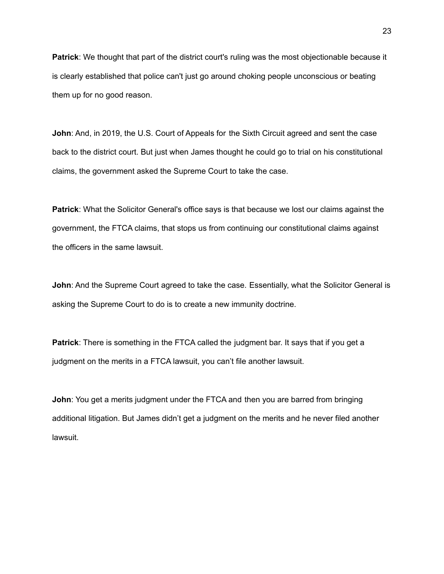**Patrick**: We thought that part of the district court's ruling was the most objectionable because it is clearly established that police can't just go around choking people unconscious or beating them up for no good reason.

**John**: And, in 2019, the U.S. Court of Appeals for the Sixth Circuit agreed and sent the case back to the district court. But just when James thought he could go to trial on his constitutional claims, the government asked the Supreme Court to take the case.

**Patrick**: What the Solicitor General's office says is that because we lost our claims against the government, the FTCA claims, that stops us from continuing our constitutional claims against the officers in the same lawsuit.

**John:** And the Supreme Court agreed to take the case. Essentially, what the Solicitor General is asking the Supreme Court to do is to create a new immunity doctrine.

**Patrick:** There is something in the FTCA called the judgment bar. It says that if you get a judgment on the merits in a FTCA lawsuit, you can't file another lawsuit.

**John**: You get a merits judgment under the FTCA and then you are barred from bringing additional litigation. But James didn't get a judgment on the merits and he never filed another lawsuit.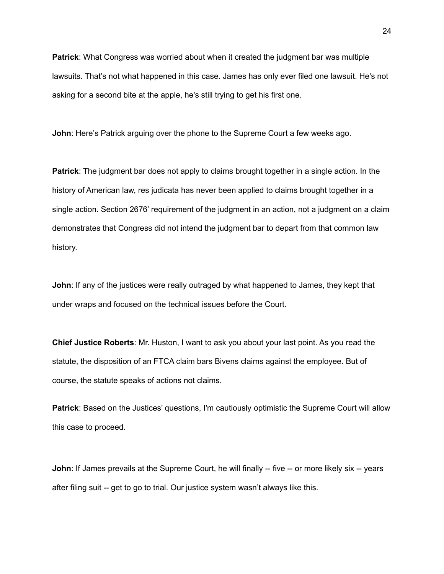**Patrick**: What Congress was worried about when it created the judgment bar was multiple lawsuits. That's not what happened in this case. James has only ever filed one lawsuit. He's not asking for a second bite at the apple, he's still trying to get his first one.

**John**: Here's Patrick arguing over the phone to the Supreme Court a few weeks ago.

**Patrick**: The judgment bar does not apply to claims brought together in a single action. In the history of American law, res judicata has never been applied to claims brought together in a single action. Section 2676' requirement of the judgment in an action, not a judgment on a claim demonstrates that Congress did not intend the judgment bar to depart from that common law history.

**John**: If any of the justices were really outraged by what happened to James, they kept that under wraps and focused on the technical issues before the Court.

**Chief Justice Roberts**: Mr. Huston, I want to ask you about your last point. As you read the statute, the disposition of an FTCA claim bars Bivens claims against the employee. But of course, the statute speaks of actions not claims.

**Patrick**: Based on the Justices' questions, I'm cautiously optimistic the Supreme Court will allow this case to proceed.

**John**: If James prevails at the Supreme Court, he will finally -- five -- or more likely six -- years after filing suit -- get to go to trial. Our justice system wasn't always like this.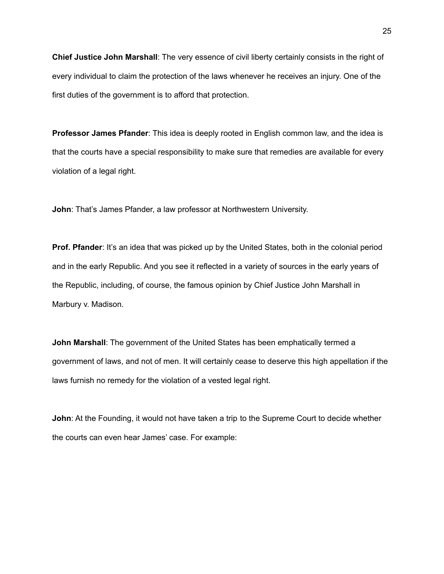**Chief Justice John Marshall**: The very essence of civil liberty certainly consists in the right of every individual to claim the protection of the laws whenever he receives an injury. One of the first duties of the government is to afford that protection.

**Professor James Pfander**: This idea is deeply rooted in English common law, and the idea is that the courts have a special responsibility to make sure that remedies are available for every violation of a legal right.

**John**: That's James Pfander, a law professor at Northwestern University.

**Prof. Pfander:** It's an idea that was picked up by the United States, both in the colonial period and in the early Republic. And you see it reflected in a variety of sources in the early years of the Republic, including, of course, the famous opinion by Chief Justice John Marshall in Marbury v. Madison.

**John Marshall**: The government of the United States has been emphatically termed a government of laws, and not of men. It will certainly cease to deserve this high appellation if the laws furnish no remedy for the violation of a vested legal right.

**John**: At the Founding, it would not have taken a trip to the Supreme Court to decide whether the courts can even hear James' case. For example: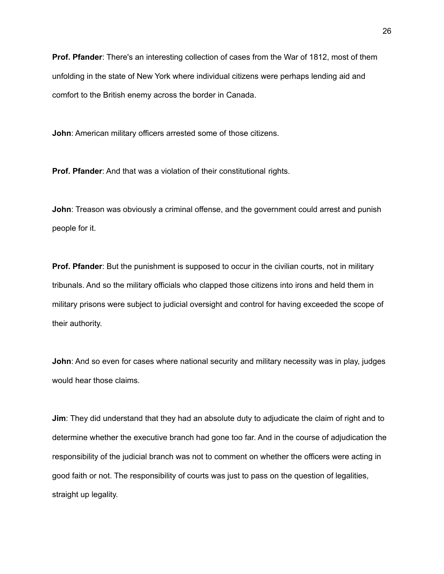**Prof. Pfander**: There's an interesting collection of cases from the War of 1812, most of them unfolding in the state of New York where individual citizens were perhaps lending aid and comfort to the British enemy across the border in Canada.

**John**: American military officers arrested some of those citizens.

**Prof. Pfander**: And that was a violation of their constitutional rights.

**John**: Treason was obviously a criminal offense, and the government could arrest and punish people for it.

**Prof. Pfander**: But the punishment is supposed to occur in the civilian courts, not in military tribunals. And so the military officials who clapped those citizens into irons and held them in military prisons were subject to judicial oversight and control for having exceeded the scope of their authority.

**John**: And so even for cases where national security and military necessity was in play, judges would hear those claims.

**Jim**: They did understand that they had an absolute duty to adjudicate the claim of right and to determine whether the executive branch had gone too far. And in the course of adjudication the responsibility of the judicial branch was not to comment on whether the officers were acting in good faith or not. The responsibility of courts was just to pass on the question of legalities, straight up legality.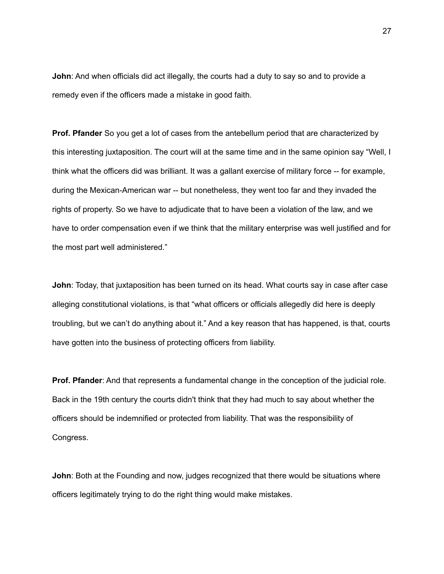**John**: And when officials did act illegally, the courts had a duty to say so and to provide a remedy even if the officers made a mistake in good faith.

**Prof. Pfander** So you get a lot of cases from the antebellum period that are characterized by this interesting juxtaposition. The court will at the same time and in the same opinion say "Well, I think what the officers did was brilliant. It was a gallant exercise of military force -- for example, during the Mexican-American war -- but nonetheless, they went too far and they invaded the rights of property. So we have to adjudicate that to have been a violation of the law, and we have to order compensation even if we think that the military enterprise was well justified and for the most part well administered."

**John**: Today, that juxtaposition has been turned on its head. What courts say in case after case alleging constitutional violations, is that "what officers or officials allegedly did here is deeply troubling, but we can't do anything about it." And a key reason that has happened, is that, courts have gotten into the business of protecting officers from liability.

**Prof. Pfander**: And that represents a fundamental change in the conception of the judicial role. Back in the 19th century the courts didn't think that they had much to say about whether the officers should be indemnified or protected from liability. That was the responsibility of Congress.

**John**: Both at the Founding and now, judges recognized that there would be situations where officers legitimately trying to do the right thing would make mistakes.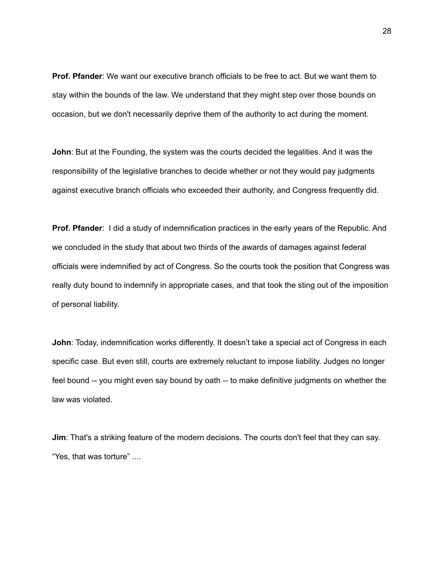**Prof. Pfander**: We want our executive branch officials to be free to act. But we want them to stay within the bounds of the law. We understand that they might step over those bounds on occasion, but we don't necessarily deprive them of the authority to act during the moment.

**John**: But at the Founding, the system was the courts decided the legalities. And it was the responsibility of the legislative branches to decide whether or not they would pay judgments against executive branch officials who exceeded their authority, and Congress frequently did.

**Prof. Pfander:** I did a study of indemnification practices in the early years of the Republic. And we concluded in the study that about two thirds of the awards of damages against federal officials were indemnified by act of Congress. So the courts took the position that Congress was really duty bound to indemnify in appropriate cases, and that took the sting out of the imposition of personal liability.

**John**: Today, indemnification works differently. It doesn't take a special act of Congress in each specific case. But even still, courts are extremely reluctant to impose liability. Judges no longer feel bound -- you might even say bound by oath -- to make definitive judgments on whether the law was violated.

**Jim**: That's a striking feature of the modern decisions. The courts don't feel that they can say. "Yes, that was torture" ....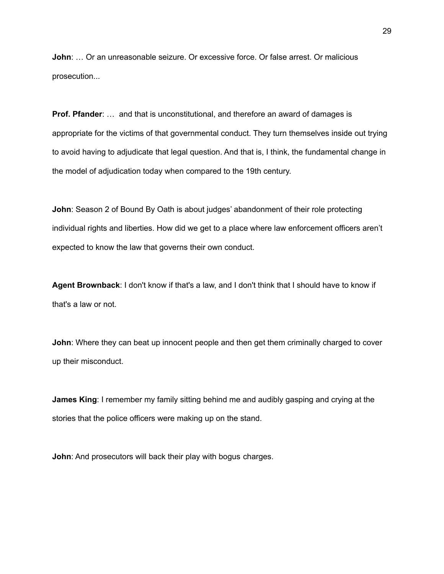**John**: … Or an unreasonable seizure. Or excessive force. Or false arrest. Or malicious prosecution...

**Prof. Pfander:** ... and that is unconstitutional, and therefore an award of damages is appropriate for the victims of that governmental conduct. They turn themselves inside out trying to avoid having to adjudicate that legal question. And that is, I think, the fundamental change in the model of adjudication today when compared to the 19th century.

**John**: Season 2 of Bound By Oath is about judges' abandonment of their role protecting individual rights and liberties. How did we get to a place where law enforcement officers aren't expected to know the law that governs their own conduct.

**Agent Brownback**: I don't know if that's a law, and I don't think that I should have to know if that's a law or not.

**John**: Where they can beat up innocent people and then get them criminally charged to cover up their misconduct.

**James King**: I remember my family sitting behind me and audibly gasping and crying at the stories that the police officers were making up on the stand.

**John**: And prosecutors will back their play with bogus charges.